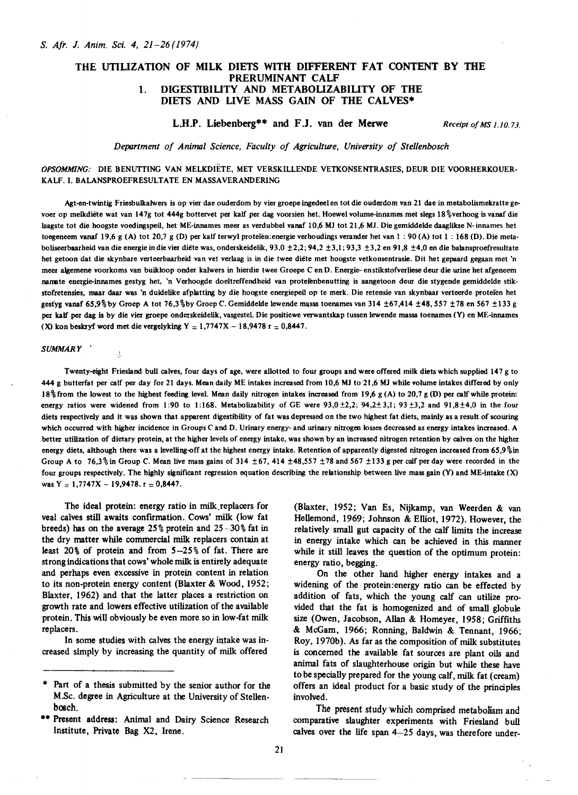# THE UTILIZATION OF MILK DIETS WITH DIFFERENT FAT CONTENT BY THE PRERUMINANT CALF 1. DIGESTIBILITY AND METABOLIZABILITY OF THE DIETS AND LIVE MASS GAIN OF THE CALVES\*

# L.H.P. Liebenberg\*\* and F.J. van der Merwe

Receipt of MS 1.10.73.

Department of Animal Science, Faculty of Agriculture, University of Stellenbosch

*OPSOMMING:* DIE BENUTTING VAN MELKDIETE, MET VERSKILLENDE VETKONSENTRASIES, DEUR DIE VOORHERKOUER-KALF. I. BALANSPROEFRESULTATE EN MASSAVERANDERING

Agt-en-twintig Friesbulkalwers is op vier dae ouderdom by vier groepe ingedeel en tot die ouderdom van 21 dae in metabolismekratte gevoer op melkdiete wat van 147g tot 444g bottervet per kalf per dag voorsien het. Hoewel volume-innames met slegs 18 %verhoog is vanaf die laagste tot die hoogste voedingspeil, het ME-innames meer as verdubbel vanaf 10,6 MJ tot 21,6 MJ. Die gemiddelde daaglikse N-innames het toegeneem vanaf 19,6 g (A) tot 20,7 g (D) per kalf terwyl proteien:energie verhoudings verander het van 1 : 90 (A) tot 1 : 168 (D). Die metaboliseerbaarheid van die energie in die vier diëte was, onderskeidelik, 93,0  $\pm$ 2,2; 94,2  $\pm$ 3,1; 93,3  $\pm$ 3,2 en 91,8  $\pm$ 4,0 en die balansproefresultate het getoon dat die skynbare verteerbaarheid van vet verlaag is in die twee diete met hoogste vetkonsentrasie. Dit het gepaard gegaan met 'n meer algemene voorkoms van buikloop onder kalwers in hierdie twee Groepe C en D. Energie- enstikstofverliese deur die urine het afgeneem namate energie-innames gestyg het. 'n Verhoogde doeltreffendheid van proteienbenutting is aangetoon deur die stygende gemiddelde stikstofretensies, maar daar was 'n duidelike afplatting by die hoogste energiepeil op te merk. Die retensie van skynbaar verteerde proteien het gestyg vanaf 65,9% by Groep A tot 76,3% by Groep C. Gemiddelde lewende massa toenames van 314 ±67,414 ±48,557 ±78 en 567 ± 133 g per kalf per dag is by die vier groepe onderskeidelik, vasgestel. Die positiewe verwantskap tussen lewende massa toenames (Y) en ME-innames (X) kon beskryf word met die vergelyking Y  $= 1,7747X - 18,9478$  r  $= 0,8447$ .

### SUMMARY '

 $\mathcal{L}$ 

Twenty-eight Friesland bull calves, four days of age, were allotted to four groups and were offered milk diets which supplied 147 g to 444 g butterfat per calf per day for 21 days. Mean daily ME intakes increased from 10,6 MJ to 21,6 MJ while volume intakes differed by only 18% from the lowest to the highest feeding level. Mean daily nitrogen intakes increased from 19,6 g (A) to 20,7 g (D) per calf while protein: energy ratios were widened from 1:90 to 1:168. Metabolizability of GE were  $93,0 \pm 2,2$ ;  $94,2 \pm 3,1$ ;  $93 \pm 3,2$  and  $91,8 \pm 4,0$  in the four diets respectively and it was shown that apparent digestibility of fat was depressed on the two highest fat diets, mainly as a result of scouring which occurred with higher incidence in Groups C and D. Urinary energy- and urinary nitrogen losses decreased as energy intakes increased. A better utilization of dietary protein, at the higher levels of energy intake, was shown by an increased nitrogen retention by calves on the higher energy diets, although there was a levelling-off at the highest energy intake. Retention of apparently digested nitrogen increased from 65,9%in Group A to 76,3% in Group C. Mean live mass gains of 314  $\pm$ 67, 414  $\pm$ 48,557  $\pm$ 78 and 567  $\pm$ 133 g per calf per day were recorded in the four groups respectively. The highly significant regression equation describing the relationship between live mass gain (Y) and ME-intake (X) was  $Y = 1,7747X - 19,9478$ .  $r = 0,8447$ .

The ideal protein: energy ratio in milk.replacers for veal calves still awaits confirmation. Cows' milk (low fat breeds) has on the average  $25\%$  protein and  $25-30\%$  fat in the dry matter while commercial milk replacers contain at least 20% of protein and from 5-25% of fat. There are strong indications that cows'wholemilk is entirely adequate and perhaps even excessive in protein content in relation to its non-protein energy content (Blaxter & Wood, 1952; Blaxter, 1962) and that the latter places a restriction on growth rate and lowers effective utilization of the available protein. This will obviously be even more so in low-fat milk replacers.

In some studies with calves the energy intake was increased simply by increasing the quantity of milk offered

(Blaxter, 1952; Van Es, Nijkamp, van Weerden & van Hellemond, 1969; Johnson & Elliot, 1972). However, the relatively small gut capacity of the calf limits the increase in energy intake which can be achieved in this manner while it still leaves the question of the optimum protein: energy ratio, begging.

On the other hand higher energy intakes and a widening of the protein:energy ratio can be effected by addition of fats, which the young calf can utilize provided that the fat is homogenized and of small globule size (Owen, Jacobson, Allan & Homeyer, 1958; Griffiths & McGarn, 1966; Ronning, Baldwin & Tennant, 1966; Roy, 1970b). As far as the composition of milk substitutes is concerned the available fat sources are plant oils and animal fats of slaughterhouse origin but while these have to be specially prepared for the young calf, milk fat (cream) offers an ideal product for a basic study of the principles involved.

The present study which comprised metabolism and comparative slaughter experiments with Friesland bull calves over the life span  $4-25$  days, was therefore under-

Part of a thesis submitted by the senior author for the M.Sc. degree in Agriculture at the University of Stellenbosch.

<sup>\*\*</sup> Present address: Animal and Dairy Science Research Institute, Private Bag X2, Irene.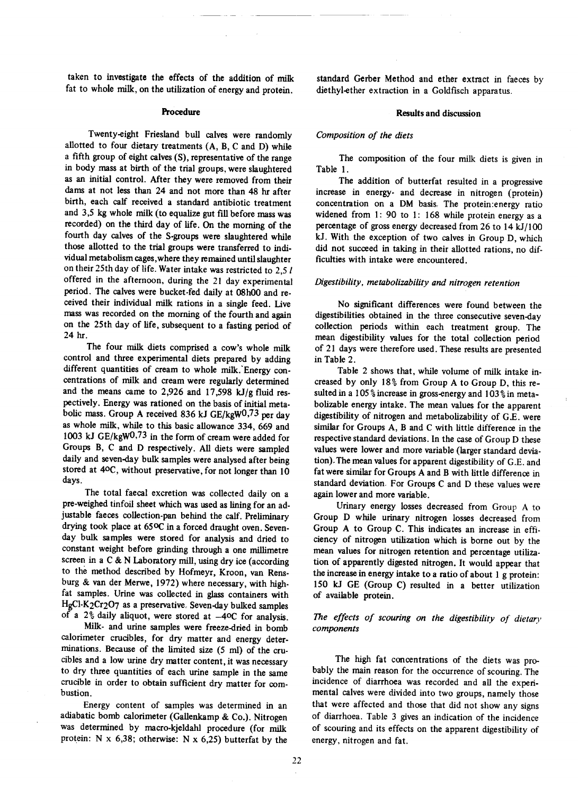taken to investigate the effects of the addition of milk fat to whole milk, on the utilization of energy and protein.

## Procedure

Twenty-eight Friesland bull calves were randomly allotted to four dietary treatments (A, B, C and D) while a fifth group of eight calves(S), representative of the range in body mass at birth of the trial groups, were slaughtered as an initial control. After they were removed from their darns at not less than 24 and not more than 48 hr after birth, each calf received a standard antibiotic treatment and 3,5 kg whole milk (to equalize gut fill before masswas recorded) on the third day of life. On the morning of the fourth day calves of the S-groups were slaughtered while those allotted to the trial groups were transferred to individual metabolism cages, where they remained until slaughter on their 25th day of life. Water intake wasrestricted to 2,5 *I* offered in the afternoon, during the 21 day experimental period. The calves were bucket-fed daily at 08h00 and received their individual milk rations in a single feed. Live mass was recorded on the morning of the fourth and again on the 25th day of life, subsequent to a fasting period of 24 hr.

The four milk diets comprised a cow's whole milk control and three experimental diets prepared by adding different quantities of cream to whole milk. Energy concentrations of milk and cream were regularly determined and the means came to 2,926 and 17,598 kJ/g fluid respectively. Energy was rationed on the basis of initial metabolic mass. Group A received 836 kJ GE/kgW0,73 per day as whole milk, while to this basic allowance 334, 669 and 1003 kJ GE/kgW<sup>0,73</sup> in the form of cream were added for Groups B, C and D respectively. All diets were sampled daily and seven-day bulk samples were analysed after being stored at 40C, without preservative, for not longer than 10 days.

The total faecal excretion was collected daily on a pre-weighed tinfoil sheet which was used as lining for an adjustable faeces collection-pan behind the calf. Preliminary drying took place at 65°C in a forced draught oven. Sevenday bulk samples were stored for analysis and dried to constant weight before grinding through a one millimetre screen in a C & N Laboratory mill, using dry ice (according to the method described by Hofmeyr, Kroon, van Rensburg & van der Merwe, 1972) where necessary, with highfat samples. Urine was collected in glass containers with HgCl-K2Cr2O7 as a preservative. Seven-day bulked samples of a 2% daily aliquot, were stored at  $-40C$  for analysis.

Milk· and urine samples were freeze-dried in bomb calorimeter crucibles, for dry matter and energy determinations. Because of the limited size (5 ml) of the crucibles and a low urine dry matter content, it was necessary to dry three quantities of each urine sample in the same crucible in order to obtain sufficient dry matter for combustion.

Energy content of samples was determined in an adiabatic bomb calorimeter (Gallenkamp & Co.). Nitrogen was determined by macro-kjeldahl procedure (for milk protein: N  $x$  6,38; otherwise: N  $x$  6,25) butterfat by the

standard Gerber Method and ether extract in faeces by diethyl-ether extraction in a Goldfisch apparatus.

## **Results and discussion**

# Composition of the diets

The composition of the four milk diets is given in Table 1.

The addition of butterfat resulted in a progressive increase in energy· and decrease in nitrogen (protein) concentration on a OM basis, The protein:energy ratio widened from 1: 90 to 1: 168 while protein energy as a percentage of gross energy decreased from 26 to 14 kJ/100 kJ. With the exception of two calves in Group D, which did not succeed in taking in their allotted rations, no difficulties with intake were encountered.

# Digestibility, metabolizability and nitrogen retention

No significant differences were found between the digestibilities obtained in the three consecutive seven-day collection periods within each treatment group. The mean digestibility values for the total collection period of 21 days were therefore used. These results are presented in Table 2.

Table 2 shows that, while volume of milk intake in· creased by only 18% from Group A to Group D, this resulted in a 105% increase in gross-energyand 103% in metabolizable energy intake. The mean values for the apparent digestibility of nitrogen and metabolizability of G.E. were similar for Groups A, B and C with little difference in the respective standard deviations. In the case of Group D these values were lower and more variable (larger standard deviation). The mean values for apparent digestibility of G.E. and fat were similar for Groups A and B with little difference in standard deviation. For Groups C and D these values were again lower and more variable.

Urinary energy losses decreased from Group A to Group 0 while urinary nitrogen losses decreased from Group A to Group C. This indicates an increase in efficiency of nitrogen utilization which is borne out by the mean values for nitrogen retention and percentage utilization of apparently digested nitrogen. It would appear that the increase in energy intake to a ratio of about 1 g protein: 150 kJ GE (Group C) resulted in a better utilization of available protein.

## The *effects of scouring on the digestibility of dietary components*

The high fat concentrations of the diets was probably the main reason for the occurrence of scouring. The incidence of diarrhoea was recorded and all the experimental calves were divided into two groups, namely those that were affected and those that did not show any signs of diarrhoea. Table 3 gives an indication of the incidence of scouring and its effects on the apparent digestibility of energy, nitrogen and fat.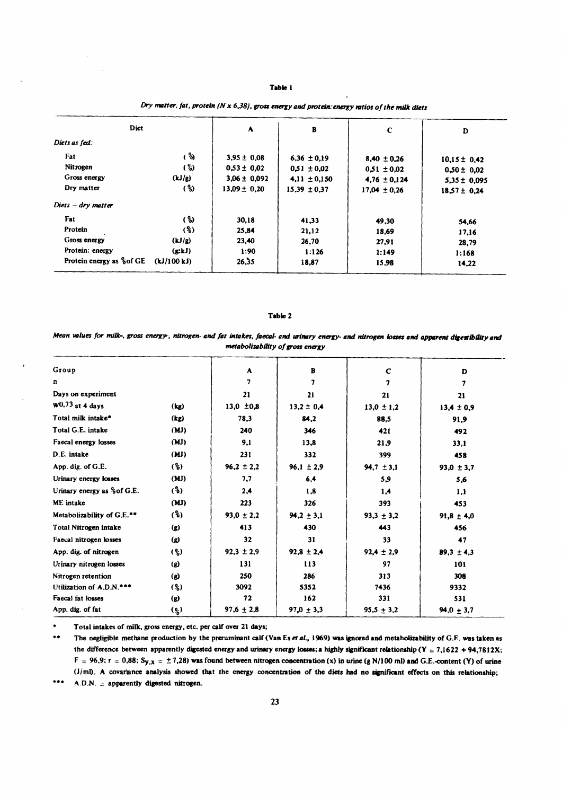## Table 1

| Diet                      |             | A                | $\, {\bf B}$     | $\mathbf c$      | D                |
|---------------------------|-------------|------------------|------------------|------------------|------------------|
| Diets as fed:             |             |                  |                  |                  |                  |
| Fat                       | (්)         | $3,95 \pm 0,08$  | $6,36 \pm 0,19$  | $8,40 \pm 0.26$  | $10.15 \pm 0.42$ |
| Nitrogen                  | (%)         | $0.53 \pm 0.02$  | $0.51 \pm 0.02$  | $0.51 \pm 0.02$  | $0,50 \pm 0.02$  |
| Gross energy              | (kJ/g)      | $3.06 \pm 0.092$ | $4.11 \pm 0.150$ | $4,76 \pm 0,124$ | $5,35 \pm 0,095$ |
| Dry matter                | (%)         | $13.09 \pm 0.20$ | $15.39 \pm 0.37$ | $17,04 \pm 0.26$ | $18.57 \pm 0.24$ |
| $Diers - dry matter$      |             |                  |                  |                  |                  |
| Fat                       | (%)         | 30,18            | 41,33            | 49,30            | 54,66            |
| Protein                   | $($ %)      | 25,84            | 21,12            | 18,69            | 17,16            |
| Gross energy              | (kJ/g)      | 23,40            | 26,70            | 27,91            | 28,79            |
| Protein: energy           | (g; k)      | 1:90             | 1:126            | 1:149            | 1:168            |
| Protein energy as % of GE | (kJ/100 kJ) | 26.35            | 18,87            | 15,98            | 14.22            |

# Dry matter, fat, protein ( $N \times 6,38$ ), gross energy and protein: energy ratios of the milk diets

## Table 2

Mean values for milk-, gross energy-, nitrogen- and fat intakes, faecal- and urinary energy- and nitrogen losses and apparent digestibility and metabolizability of gross energy

| Group                       |           | A              | B              | $\mathbf c$    | D              |
|-----------------------------|-----------|----------------|----------------|----------------|----------------|
| n                           |           | 7              | 7              | 7              | 7              |
| Days on experiment          |           | 21             | 21             | 21             | 21             |
| $W0,73$ at 4 days           | (kg)      | $13,0 \pm 0,8$ | $13,2 \pm 0,4$ | $13,0 \pm 1,2$ | $13,4 \pm 0,9$ |
| Total milk intake*          | (kg)      | 78,3           | 84,2           | 88,5           | 91,9           |
| Total G.E. intake           | (MJ)      | 240            | 346            | 421            | 492            |
| Faecal energy losses        | (MJ)      | 9,1            | 13.8           | 21,9           | 33,1           |
| D.E. intake                 | (MJ)      | 231            | 332            | 399            | 458            |
| App. dig. of G.E.           | (3)       | $96,2 \pm 2,2$ | $96,1 \pm 2,9$ | $94.7 \pm 3.1$ | $93,0 \pm 3,7$ |
| Urinary energy losses       | (MJ)      | 7.7            | 6,4            | 5,9            | 5,6            |
| Urinary energy as % of G.E. | (3)       | 2,4            | 1,8            | 1.4            | 1,1            |
| ME intake                   | (MJ)      | 223            | 326            | 393            | 453            |
| Metabolizability of G.E.**  | (5)       | $93.0 \pm 2.2$ | $94,2 \pm 3,1$ | $93,3 \pm 3,2$ | $91,8 \pm 4,0$ |
| Total Nitrogen intake       | $\bf (g)$ | 413            | 430            | 443            | 456            |
| Faecal nitrogen losses      | (g)       | 32             | 31             | 33             | 47             |
| App. dig. of nitrogen       | (2)       | $92,3 \pm 2,9$ | $92,8 \pm 2,4$ | $92,4 \pm 2,9$ | $89,3 \pm 4,3$ |
| Urinary nitrogen losses     | (g)       | 131            | 113            | 97             | 101            |
| Nitrogen retention          | (g)       | 250            | 286            | 313            | 308            |
| Utilization of A.D.N.***    | (3)       | 3092           | 5352           | 7436           | 9332           |
| Faecal fat losses           | (g)       | 72             | 162            | 331            | 531            |
| App. dig. of fat            | (0)       | $97,6 \pm 2,8$ | $97,0 \pm 3,3$ | $95,5 \pm 3,2$ | $94,0 + 3,7$   |

Total intakes of milk, gross energy, etc. per calf over 21 days;

 $\star\star$ The negligible methane production by the preruminant calf (Van Es et al., 1969) was ignored and metabolizability of G.E. was taken as the difference between apparently digested energy and urinary energy losses; a highly significant relationship (Y = 7,1622 + 94,7812X;  $F = 96.9$ ;  $r = 0.88$ ; Sy<sub>1</sub>x = ±7,28) was found between nitrogen concentration (x) in urine (g N/100 ml) and G.E.-content (Y) of urine (J/ml). A covariance analysis showed that the energy concentration of the diets had no significant effects on this relationship;  $***$  $A.D.N. = **apparently digested nitrogen.**$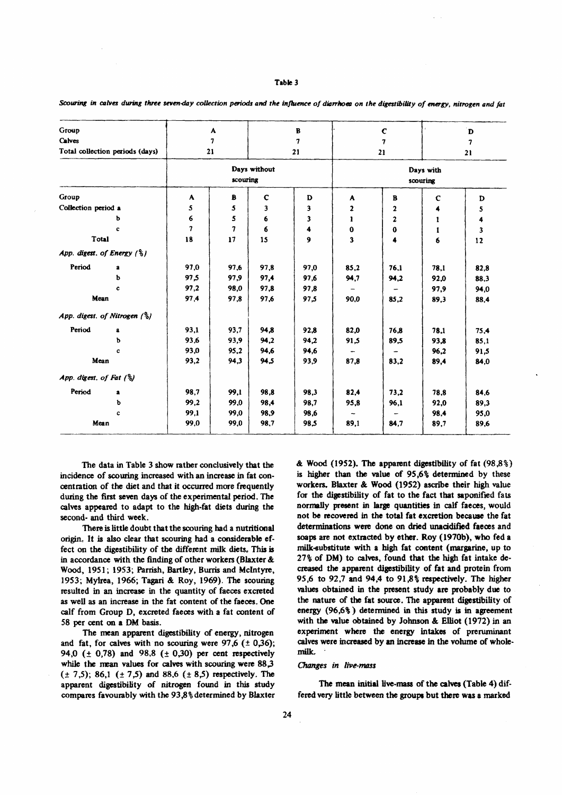#### Table 3

| Group<br>Calves         |                                         | A<br>7 |                          |             | B<br>7 |                          | $\mathbf c$  |             | D    |  |
|-------------------------|-----------------------------------------|--------|--------------------------|-------------|--------|--------------------------|--------------|-------------|------|--|
|                         | Total collection periods (days)         |        | 21                       |             | 21     | 7<br>21                  |              | 7<br>21     |      |  |
|                         |                                         |        |                          |             |        |                          |              |             |      |  |
|                         |                                         |        | Days without<br>scouring |             |        | Days with<br>scouring    |              |             |      |  |
| Group                   |                                         | A      | B                        | $\mathbf c$ | D      | A                        | $\mathbf{B}$ | $\mathbf C$ | D    |  |
| Collection period a     |                                         | 5      | 5                        | 3           | 3      | $\mathbf{2}$             | 2            | 4           | 5    |  |
|                         | b                                       | 6      | 5                        | 6           | 3      | $\mathbf{r}$             | 2            | 1           | 4    |  |
|                         | c                                       | 7      | 7                        | 6           | 4      | $\bf{0}$                 | 0            | 1           | 3    |  |
| Total                   |                                         | 18     | 17                       | 15          | 9      | $\overline{\mathbf{3}}$  | 4            | 6           | 12   |  |
|                         | App. digest. of Energy (%)              |        |                          |             |        |                          |              |             |      |  |
| Period                  | a                                       | 97.0   | 97.6                     | 97.8        | 97,0   | 85,2                     | 76,1         | 78.1        | 82.8 |  |
|                         | ь                                       | 97.5   | 97,9                     | 97,4        | 97.6   | 94,7                     | 94,2         | 92.0        | 88.3 |  |
|                         | c                                       | 97,2   | 98.0                     | 97.8        | 97.8   |                          |              | 97.9        | 94,0 |  |
| Mean                    |                                         | 97,4   | 97,8                     | 97.6        | 97,5   | 90.0                     | 85.2         | 89,3        | 88,4 |  |
|                         | App. digest. of Nitrogen $\binom{6}{6}$ |        |                          |             |        |                          |              |             |      |  |
| Period                  | a                                       | 93.1   | 93,7                     | 94.8        | 92,8   | 82,0                     | 76.8         | 78.1        | 75.4 |  |
|                         | ь                                       | 93,6   | 93,9                     | 94,2        | 94.2   | 91.5                     | 89.5         | 93,8        | 85,1 |  |
|                         | c                                       | 93,0   | 95,2                     | 94.6        | 94,6   |                          |              | 96.2        | 91.5 |  |
| Mean                    |                                         | 93,2   | 94,3                     | 94.5        | 93,9   | 87,8                     | 83.2         | 89,4        | 84,0 |  |
| App. digest. of Fat (%) |                                         |        |                          |             |        |                          |              |             |      |  |
| Period                  | a                                       | 98,7   | 99,1                     | 98.8        | 98,3   | 82,4                     | 73,2         | 78,8        | 84,6 |  |
|                         | ь                                       | 99,2   | 99,0                     | 98,4        | 98.7   | 95,8                     | 96,1         | 92,0        | 89,3 |  |
|                         | c                                       | 99,1   | 99,0                     | 98.9        | 98,6   | $\overline{\phantom{a}}$ |              | 98,4        | 95,0 |  |
| Mean                    |                                         | 99,0   | 99,0                     | 98,7        | 98.5   | 89.1                     | 84,7         | 89.7        | 89,6 |  |

Scouring in calves during three seven-day collection periods and the influence of diarrhoea on the digestibility of energy, nitrogen and fat

The data in Table 3 show rather conclusively that the incidence of scouring increased with an increase in fat concentration of the diet and that it occurred more frequently during the first seven days of the experimental period. The calves appeared to adapt to the high-fat diets during the second- and third week.

There is little doubt that the scouring had a nutritional origin. It is also clear that scouring had a considerable effect on the digestibility of the different milk diets. This is in accordance with the finding of other workers (Blaxter & Wood, 1951; 1953; Parrish, Bartley, Burris and McIntyre, 1953; Mylrea, 1966; Tagari & Roy, 1969). The scouring resulted in an increase in the quantity of faeces excreted as well as an increase in the fat content of the faeces. One calf from Group D, excreted faeces with a fat content of 58 per cent on a DM basis.

The mean apparent digestibility of energy, nitrogen and fat, for calves with no scouring were 97,6 ( $\pm$  0,36); 94,0 ( $\pm$  0,78) and 98,8 ( $\pm$  0,30) per cent respectively while the mean values for calves with scouring were 88,3  $(\pm 7,5)$ ; 86,1  $(\pm 7,5)$  and 88,6  $(\pm 8,5)$  respectively. The apparent digestibility of nitrogen found in this study compares favourably with the 93,8% determined by Blaxter & Wood (1952). The apparent digestibility of fat (98,8%) is higher than the value of 95.6% determined by these workers. Blaxter & Wood (1952) ascribe their high value for the digestibility of fat to the fact that saponified fats normally present in large quantities in calf faeces, would not be recovered in the total fat excretion because the fat determinations were done on dried unacidified faeces and soaps are not extracted by ether. Roy (1970b), who fed a milk-substitute with a high fat content (margarine, up to 27% of DM) to calves, found that the high fat intake decreased the apparent digestibility of fat and protein from 95,6 to 92,7 and 94,4 to 91,8% respectively. The higher values obtained in the present study are probably due to the nature of the fat source. The apparent digestibility of energy  $(96,6\%)$  determined in this study is in agreement with the value obtained by Johnson & Elliot (1972) in an experiment where the energy intakes of preruminant calves were increased by an increase in the volume of wholemilk.

#### Changes in live-mass

The mean initial live-mass of the calves (Table 4) differed very little between the groups but there was a marked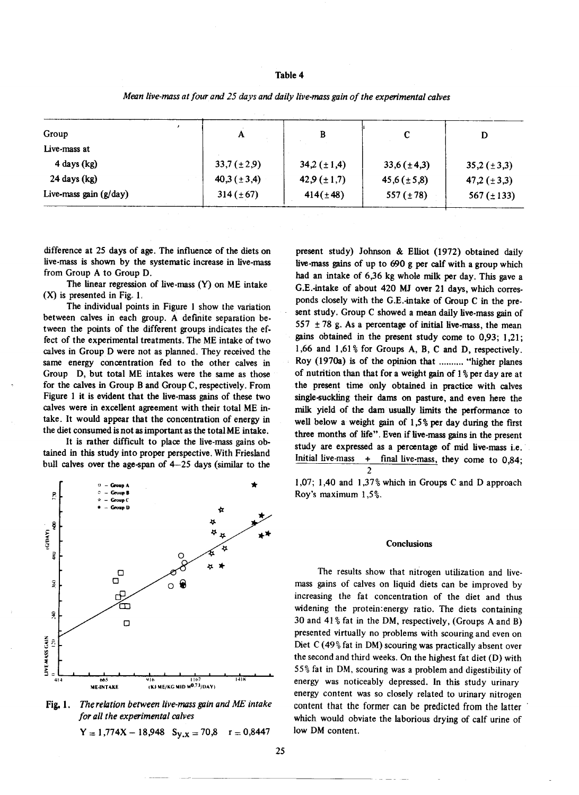#### Table 4

| D                  |                    |                    | A                  | Group                    |
|--------------------|--------------------|--------------------|--------------------|--------------------------|
|                    |                    |                    |                    | Live-mass at             |
| $35,2 \ (\pm 3,3)$ | $33,6(\pm 4,3)$    | $34,2 \ (\pm 1,4)$ | $33,7 \ (\pm 2,9)$ | $4$ days (kg)            |
| 47,2 $(\pm 3,3)$   | $45,6 \ (\pm 5,8)$ | 42,9 $(\pm 1,7)$   | 40,3 $(\pm 3,4)$   | $24$ days (kg)           |
| 567 $(\pm 133)$    | 557 $(\pm 78)$     | $414(\pm 48)$      | $314 (\pm 67)$     | Live-mass gain $(g/day)$ |
|                    |                    |                    |                    |                          |

Mean live-mass at four and 25 days and daily live-mass gain of the experimental calves

difference at 25 days of age. The influence of the diets on live-mass is shown by the systematic increase in live-mass from Group A to Group D.

The linear regression of live-mass (Y) on ME intake  $(X)$  is presented in Fig. 1.

The individual points in Figure 1 show the variation between calves in each group. A defmite separation between the points of the different groups indicates the ef· feet of the experimental treatments. The ME intake of two calves in Group D were not as planned. They received the same energy concentration fed to the other calves in Group D, but total ME intakes were the same as those for the calves in Group B and Group C, respectively. From Figure 1 it is evident that the live-mass gains of these two calves were in excellent agreement with their total ME intake. It would appear that the concentration of energy in the diet consumed is not as important as the total ME intake.

It is rather difficult to place the live-mass gains ob· tained in this study into proper perspective. With Friesland bull calves over the age-span of 4-25 days (similar to the





 $Y = 1,774X - 18,948$   $S_{Y,X} = 70,8$  r = 0,8447

present study) Johnson & Elliot (I972) obtained daily live-mass gains of up to 690 g per calf with a group which had an intake of 6,36 kg whole milk per day. This gave a G.E.-intake of about 420 MJ over 21 days, which corresponds closely with the G.E.-intake of Group C in the present study. Group C showed a mean daily live-mass gain of 557  $\pm$  78 g. As a percentage of initial live-mass, the mean gains obtained in the present study come to 0,93; 1,21; 1,66 and 1,61 % for Groups A, B, C and D, respectively. Roy (1970a) is of the opinion that ......... "higher planes of nutrition than that for a weight gain of  $1\%$  per day are at the present time only obtained in practice with calves single-suckling their dams on pasture, and even here the milk yield of the dam usually limits the performance to well below a weight gain of  $1,5\%$  per day during the first three months of life". Even if live-mass gains in the present study are expressed as a percentage of mid live-mass i.e. Initial live-mass + final live-mass, they come to 0,84; 2

1,07; 1,40 and 1,37% which in Groups C and D approach Roy's maximum 1,5%.

#### **Conclusions**

The results show that nitrogen utilization and livemass gains of calves on liquid diets can be improved by increasing the fat concentration of the diet and thus widening the protein:energy ratio. The diets containing 30 and 41% fat in the DM, respectively, (Groups A and B) presented virtually no problems with scouring and even on Diet C (49% fat in DM) scouring was practically absent over the second and third weeks. On the highest fat diet (D) with 55% fat in DM, scouring was a problem and digestibility of energy was noticeably depressed. In this study urinary energy content was so closely related to urinary nitrogen content that the former can be predicted from the latter which would obviate the laborious drying of calf urine of low DM content.